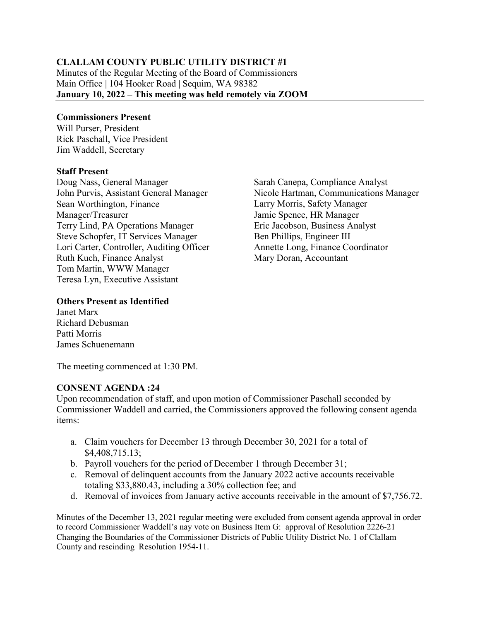## **CLALLAM COUNTY PUBLIC UTILITY DISTRICT #1**

Minutes of the Regular Meeting of the Board of Commissioners Main Office | 104 Hooker Road | Sequim, WA 98382 **January 10, 2022 – This meeting was held remotely via ZOOM**

#### **Commissioners Present**

Will Purser, President Rick Paschall, Vice President Jim Waddell, Secretary

#### **Staff Present**

Doug Nass, General Manager John Purvis, Assistant General Manager Sean Worthington, Finance Manager/Treasurer Terry Lind, PA Operations Manager Steve Schopfer, IT Services Manager Lori Carter, Controller, Auditing Officer Ruth Kuch, Finance Analyst Tom Martin, WWW Manager Teresa Lyn, Executive Assistant

Sarah Canepa, Compliance Analyst Nicole Hartman, Communications Manager Larry Morris, Safety Manager Jamie Spence, HR Manager Eric Jacobson, Business Analyst Ben Phillips, Engineer III Annette Long, Finance Coordinator Mary Doran, Accountant

#### **Others Present as Identified**

Janet Marx Richard Debusman Patti Morris James Schuenemann

The meeting commenced at 1:30 PM.

### **CONSENT AGENDA :24**

Upon recommendation of staff, and upon motion of Commissioner Paschall seconded by Commissioner Waddell and carried, the Commissioners approved the following consent agenda items:

- a. Claim vouchers for December 13 through December 30, 2021 for a total of \$4,408,715.13;
- b. Payroll vouchers for the period of December 1 through December 31;
- c. Removal of delinquent accounts from the January 2022 active accounts receivable totaling \$33,880.43, including a 30% collection fee; and
- d. Removal of invoices from January active accounts receivable in the amount of \$7,756.72.

Minutes of the December 13, 2021 regular meeting were excluded from consent agenda approval in order to record Commissioner Waddell's nay vote on Business Item G: approval of Resolution 2226-21 Changing the Boundaries of the Commissioner Districts of Public Utility District No. 1 of Clallam County and rescinding Resolution 1954-11.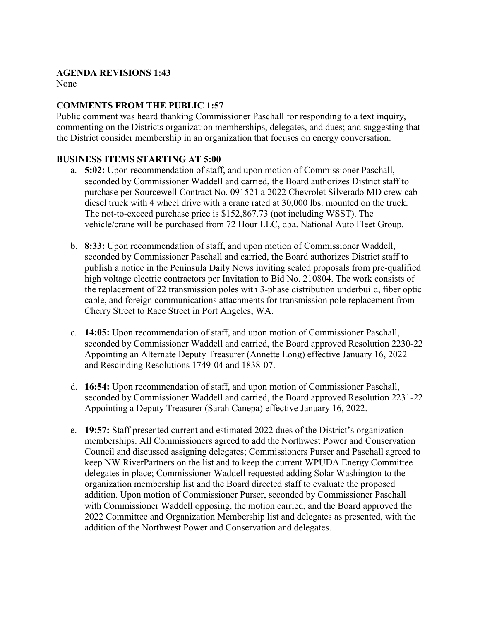#### **AGENDA REVISIONS 1:43**

None

## **COMMENTS FROM THE PUBLIC 1:57**

Public comment was heard thanking Commissioner Paschall for responding to a text inquiry, commenting on the Districts organization memberships, delegates, and dues; and suggesting that the District consider membership in an organization that focuses on energy conversation.

### **BUSINESS ITEMS STARTING AT 5:00**

- a. **5:02:** Upon recommendation of staff, and upon motion of Commissioner Paschall, seconded by Commissioner Waddell and carried, the Board authorizes District staff to purchase per Sourcewell Contract No. 091521 a 2022 Chevrolet Silverado MD crew cab diesel truck with 4 wheel drive with a crane rated at 30,000 lbs. mounted on the truck. The not-to-exceed purchase price is \$152,867.73 (not including WSST). The vehicle/crane will be purchased from 72 Hour LLC, dba. National Auto Fleet Group.
- b. **8:33:** Upon recommendation of staff, and upon motion of Commissioner Waddell, seconded by Commissioner Paschall and carried, the Board authorizes District staff to publish a notice in the Peninsula Daily News inviting sealed proposals from pre-qualified high voltage electric contractors per Invitation to Bid No. 210804. The work consists of the replacement of 22 transmission poles with 3-phase distribution underbuild, fiber optic cable, and foreign communications attachments for transmission pole replacement from Cherry Street to Race Street in Port Angeles, WA.
- c. **14:05:** Upon recommendation of staff, and upon motion of Commissioner Paschall, seconded by Commissioner Waddell and carried, the Board approved Resolution 2230-22 Appointing an Alternate Deputy Treasurer (Annette Long) effective January 16, 2022 and Rescinding Resolutions 1749-04 and 1838-07.
- d. **16:54:** Upon recommendation of staff, and upon motion of Commissioner Paschall, seconded by Commissioner Waddell and carried, the Board approved Resolution 2231-22 Appointing a Deputy Treasurer (Sarah Canepa) effective January 16, 2022.
- e. **19:57:** Staff presented current and estimated 2022 dues of the District's organization memberships. All Commissioners agreed to add the Northwest Power and Conservation Council and discussed assigning delegates; Commissioners Purser and Paschall agreed to keep NW RiverPartners on the list and to keep the current WPUDA Energy Committee delegates in place; Commissioner Waddell requested adding Solar Washington to the organization membership list and the Board directed staff to evaluate the proposed addition. Upon motion of Commissioner Purser, seconded by Commissioner Paschall with Commissioner Waddell opposing, the motion carried, and the Board approved the 2022 Committee and Organization Membership list and delegates as presented, with the addition of the Northwest Power and Conservation and delegates.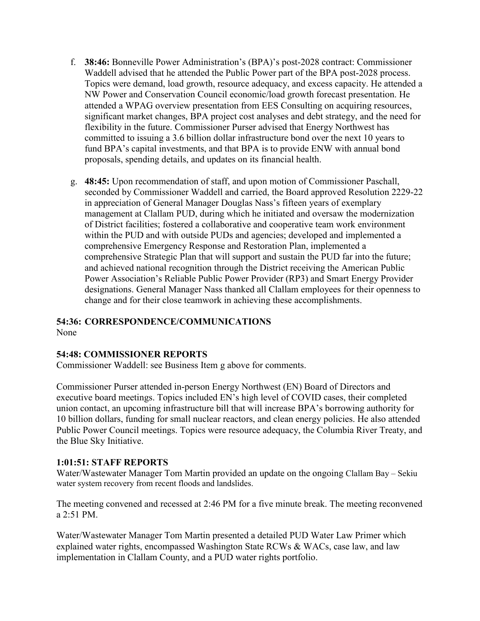- f. **38:46:** Bonneville Power Administration's (BPA)'s post-2028 contract: Commissioner Waddell advised that he attended the Public Power part of the BPA post-2028 process. Topics were demand, load growth, resource adequacy, and excess capacity. He attended a NW Power and Conservation Council economic/load growth forecast presentation. He attended a WPAG overview presentation from EES Consulting on acquiring resources, significant market changes, BPA project cost analyses and debt strategy, and the need for flexibility in the future. Commissioner Purser advised that Energy Northwest has committed to issuing a 3.6 billion dollar infrastructure bond over the next 10 years to fund BPA's capital investments, and that BPA is to provide ENW with annual bond proposals, spending details, and updates on its financial health.
- g. **48:45:** Upon recommendation of staff, and upon motion of Commissioner Paschall, seconded by Commissioner Waddell and carried, the Board approved Resolution 2229-22 in appreciation of General Manager Douglas Nass's fifteen years of exemplary management at Clallam PUD, during which he initiated and oversaw the modernization of District facilities; fostered a collaborative and cooperative team work environment within the PUD and with outside PUDs and agencies; developed and implemented a comprehensive Emergency Response and Restoration Plan, implemented a comprehensive Strategic Plan that will support and sustain the PUD far into the future; and achieved national recognition through the District receiving the American Public Power Association's Reliable Public Power Provider (RP3) and Smart Energy Provider designations. General Manager Nass thanked all Clallam employees for their openness to change and for their close teamwork in achieving these accomplishments.

### **54:36: CORRESPONDENCE/COMMUNICATIONS**

None

### **54:48: COMMISSIONER REPORTS**

Commissioner Waddell: see Business Item g above for comments.

Commissioner Purser attended in-person Energy Northwest (EN) Board of Directors and executive board meetings. Topics included EN's high level of COVID cases, their completed union contact, an upcoming infrastructure bill that will increase BPA's borrowing authority for 10 billion dollars, funding for small nuclear reactors, and clean energy policies. He also attended Public Power Council meetings. Topics were resource adequacy, the Columbia River Treaty, and the Blue Sky Initiative.

### **1:01:51: STAFF REPORTS**

Water/Wastewater Manager Tom Martin provided an update on the ongoing Clallam Bay – Sekiu water system recovery from recent floods and landslides.

The meeting convened and recessed at 2:46 PM for a five minute break. The meeting reconvened a 2:51 PM.

Water/Wastewater Manager Tom Martin presented a detailed PUD Water Law Primer which explained water rights, encompassed Washington State RCWs & WACs, case law, and law implementation in Clallam County, and a PUD water rights portfolio.